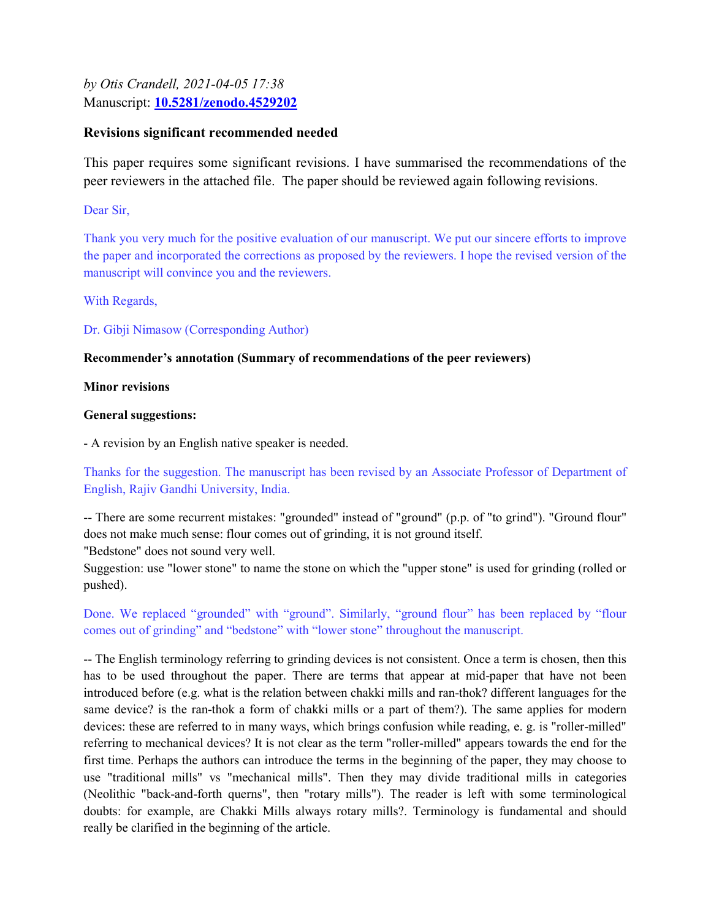by Otis Crandell, 2021-04-05 17:38 Manuscript: 10.5281/zenodo.4529202

# Revisions significant recommended needed

This paper requires some significant revisions. I have summarised the recommendations of the peer reviewers in the attached file. The paper should be reviewed again following revisions.

Dear Sir,

Thank you very much for the positive evaluation of our manuscript. We put our sincere efforts to improve the paper and incorporated the corrections as proposed by the reviewers. I hope the revised version of the manuscript will convince you and the reviewers.

With Regards,

Dr. Gibji Nimasow (Corresponding Author)

# Recommender's annotation (Summary of recommendations of the peer reviewers)

Minor revisions

## General suggestions:

- A revision by an English native speaker is needed.

Thanks for the suggestion. The manuscript has been revised by an Associate Professor of Department of English, Rajiv Gandhi University, India.

-- There are some recurrent mistakes: "grounded" instead of "ground" (p.p. of "to grind"). "Ground flour" does not make much sense: flour comes out of grinding, it is not ground itself.

"Bedstone" does not sound very well.

Suggestion: use "lower stone" to name the stone on which the "upper stone" is used for grinding (rolled or pushed).

Done. We replaced "grounded" with "ground". Similarly, "ground flour" has been replaced by "flour comes out of grinding" and "bedstone" with "lower stone" throughout the manuscript.

-- The English terminology referring to grinding devices is not consistent. Once a term is chosen, then this has to be used throughout the paper. There are terms that appear at mid-paper that have not been introduced before (e.g. what is the relation between chakki mills and ran-thok? different languages for the same device? is the ran-thok a form of chakki mills or a part of them?). The same applies for modern devices: these are referred to in many ways, which brings confusion while reading, e. g. is "roller-milled" referring to mechanical devices? It is not clear as the term "roller-milled" appears towards the end for the first time. Perhaps the authors can introduce the terms in the beginning of the paper, they may choose to use "traditional mills" vs "mechanical mills". Then they may divide traditional mills in categories (Neolithic "back-and-forth querns", then "rotary mills"). The reader is left with some terminological doubts: for example, are Chakki Mills always rotary mills?. Terminology is fundamental and should really be clarified in the beginning of the article.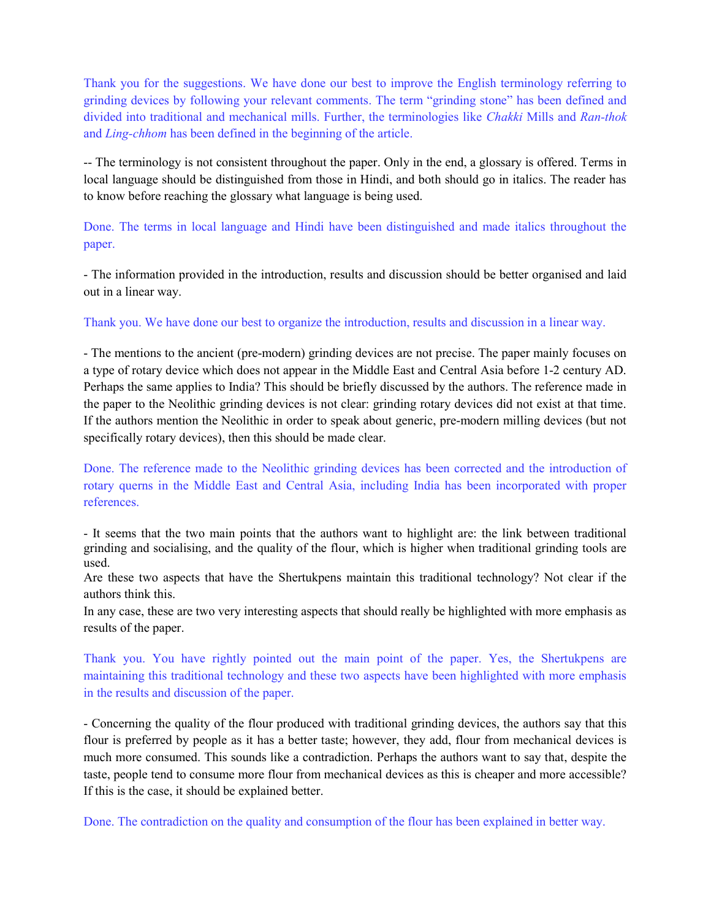Thank you for the suggestions. We have done our best to improve the English terminology referring to grinding devices by following your relevant comments. The term "grinding stone" has been defined and divided into traditional and mechanical mills. Further, the terminologies like Chakki Mills and Ran-thok and Ling-chhom has been defined in the beginning of the article.

-- The terminology is not consistent throughout the paper. Only in the end, a glossary is offered. Terms in local language should be distinguished from those in Hindi, and both should go in italics. The reader has to know before reaching the glossary what language is being used.

Done. The terms in local language and Hindi have been distinguished and made italics throughout the paper.

- The information provided in the introduction, results and discussion should be better organised and laid out in a linear way.

Thank you. We have done our best to organize the introduction, results and discussion in a linear way.

- The mentions to the ancient (pre-modern) grinding devices are not precise. The paper mainly focuses on a type of rotary device which does not appear in the Middle East and Central Asia before 1-2 century AD. Perhaps the same applies to India? This should be briefly discussed by the authors. The reference made in the paper to the Neolithic grinding devices is not clear: grinding rotary devices did not exist at that time. If the authors mention the Neolithic in order to speak about generic, pre-modern milling devices (but not specifically rotary devices), then this should be made clear.

Done. The reference made to the Neolithic grinding devices has been corrected and the introduction of rotary querns in the Middle East and Central Asia, including India has been incorporated with proper references.

- It seems that the two main points that the authors want to highlight are: the link between traditional grinding and socialising, and the quality of the flour, which is higher when traditional grinding tools are used.

Are these two aspects that have the Shertukpens maintain this traditional technology? Not clear if the authors think this.

In any case, these are two very interesting aspects that should really be highlighted with more emphasis as results of the paper.

Thank you. You have rightly pointed out the main point of the paper. Yes, the Shertukpens are maintaining this traditional technology and these two aspects have been highlighted with more emphasis in the results and discussion of the paper.

- Concerning the quality of the flour produced with traditional grinding devices, the authors say that this flour is preferred by people as it has a better taste; however, they add, flour from mechanical devices is much more consumed. This sounds like a contradiction. Perhaps the authors want to say that, despite the taste, people tend to consume more flour from mechanical devices as this is cheaper and more accessible? If this is the case, it should be explained better.

Done. The contradiction on the quality and consumption of the flour has been explained in better way.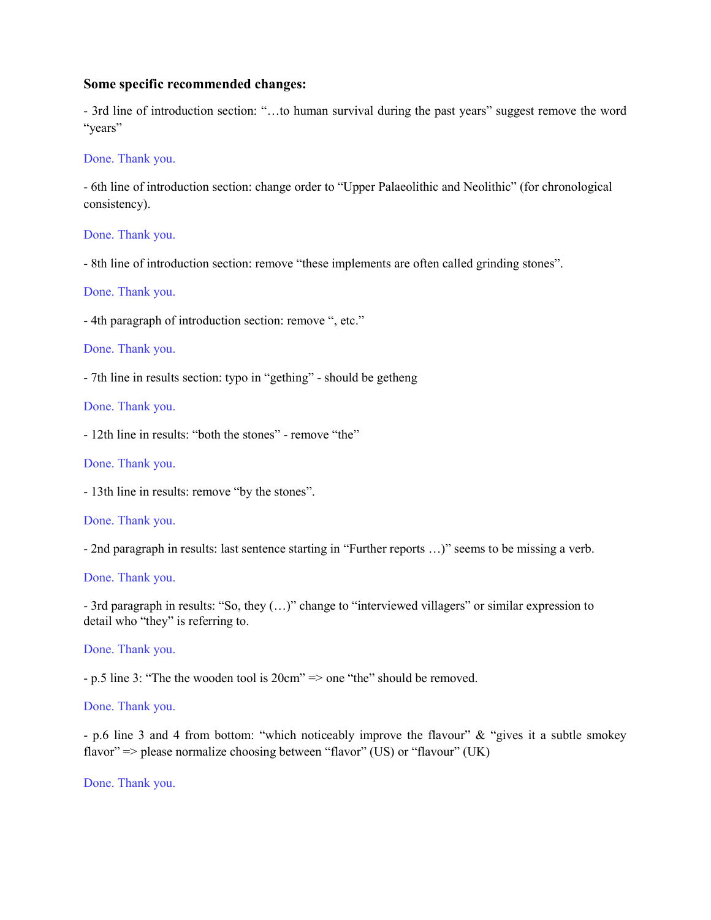#### Some specific recommended changes:

- 3rd line of introduction section: "…to human survival during the past years" suggest remove the word "years"

#### Done. Thank you.

- 6th line of introduction section: change order to "Upper Palaeolithic and Neolithic" (for chronological consistency).

#### Done. Thank you.

- 8th line of introduction section: remove "these implements are often called grinding stones".

#### Done. Thank you.

- 4th paragraph of introduction section: remove ", etc."

#### Done. Thank you.

- 7th line in results section: typo in "gething" - should be getheng

#### Done. Thank you.

- 12th line in results: "both the stones" - remove "the"

#### Done. Thank you.

- 13th line in results: remove "by the stones".

#### Done. Thank you.

- 2nd paragraph in results: last sentence starting in "Further reports …)" seems to be missing a verb.

## Done. Thank you.

- 3rd paragraph in results: "So, they (…)" change to "interviewed villagers" or similar expression to detail who "they" is referring to.

#### Done. Thank you.

- p.5 line 3: "The the wooden tool is 20cm" => one "the" should be removed.

#### Done. Thank you.

- p.6 line 3 and 4 from bottom: "which noticeably improve the flavour" & "gives it a subtle smokey flavor" => please normalize choosing between "flavor" (US) or "flavour" (UK)

Done. Thank you.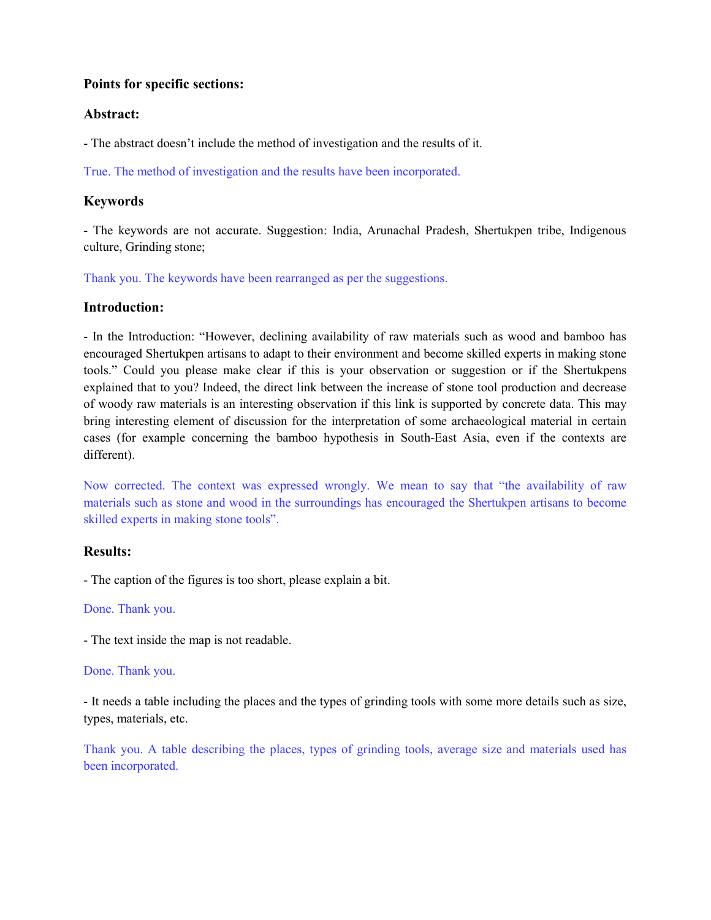## Points for specific sections:

## Abstract:

- The abstract doesn't include the method of investigation and the results of it.

True. The method of investigation and the results have been incorporated.

# Keywords

- The keywords are not accurate. Suggestion: India, Arunachal Pradesh, Shertukpen tribe, Indigenous culture, Grinding stone;

Thank you. The keywords have been rearranged as per the suggestions.

# Introduction:

- In the Introduction: "However, declining availability of raw materials such as wood and bamboo has encouraged Shertukpen artisans to adapt to their environment and become skilled experts in making stone tools." Could you please make clear if this is your observation or suggestion or if the Shertukpens explained that to you? Indeed, the direct link between the increase of stone tool production and decrease of woody raw materials is an interesting observation if this link is supported by concrete data. This may bring interesting element of discussion for the interpretation of some archaeological material in certain cases (for example concerning the bamboo hypothesis in South-East Asia, even if the contexts are different).

Now corrected. The context was expressed wrongly. We mean to say that "the availability of raw materials such as stone and wood in the surroundings has encouraged the Shertukpen artisans to become skilled experts in making stone tools".

# Results:

- The caption of the figures is too short, please explain a bit.

### Done. Thank you.

- The text inside the map is not readable.

### Done. Thank you.

- It needs a table including the places and the types of grinding tools with some more details such as size, types, materials, etc.

Thank you. A table describing the places, types of grinding tools, average size and materials used has been incorporated.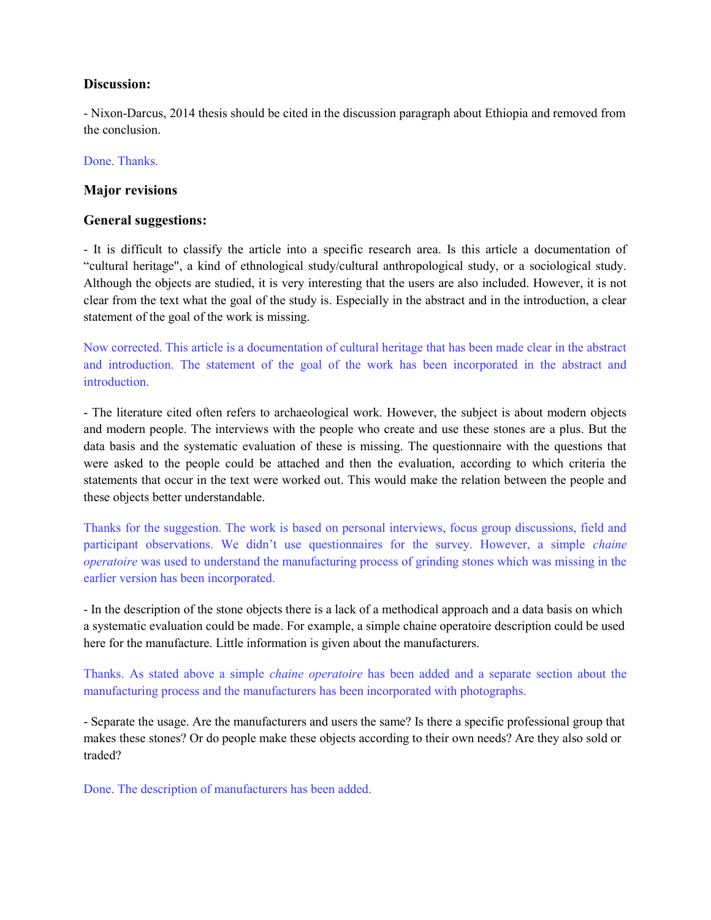# Discussion:

- Nixon-Darcus, 2014 thesis should be cited in the discussion paragraph about Ethiopia and removed from the conclusion.

### Done. Thanks.

## Major revisions

## General suggestions:

- It is difficult to classify the article into a specific research area. Is this article a documentation of "cultural heritage", a kind of ethnological study/cultural anthropological study, or a sociological study. Although the objects are studied, it is very interesting that the users are also included. However, it is not clear from the text what the goal of the study is. Especially in the abstract and in the introduction, a clear statement of the goal of the work is missing.

Now corrected. This article is a documentation of cultural heritage that has been made clear in the abstract and introduction. The statement of the goal of the work has been incorporated in the abstract and introduction.

- The literature cited often refers to archaeological work. However, the subject is about modern objects and modern people. The interviews with the people who create and use these stones are a plus. But the data basis and the systematic evaluation of these is missing. The questionnaire with the questions that were asked to the people could be attached and then the evaluation, according to which criteria the statements that occur in the text were worked out. This would make the relation between the people and these objects better understandable.

Thanks for the suggestion. The work is based on personal interviews, focus group discussions, field and participant observations. We didn't use questionnaires for the survey. However, a simple chaine operatoire was used to understand the manufacturing process of grinding stones which was missing in the earlier version has been incorporated.

- In the description of the stone objects there is a lack of a methodical approach and a data basis on which a systematic evaluation could be made. For example, a simple chaine operatoire description could be used here for the manufacture. Little information is given about the manufacturers.

Thanks. As stated above a simple chaine operatoire has been added and a separate section about the manufacturing process and the manufacturers has been incorporated with photographs.

- Separate the usage. Are the manufacturers and users the same? Is there a specific professional group that makes these stones? Or do people make these objects according to their own needs? Are they also sold or traded?

Done. The description of manufacturers has been added.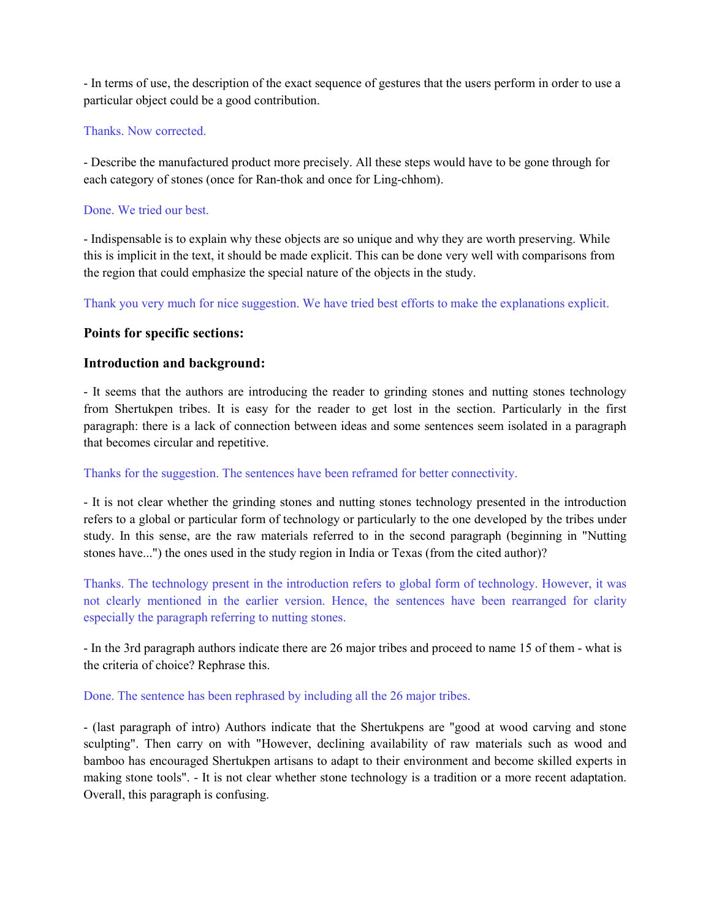- In terms of use, the description of the exact sequence of gestures that the users perform in order to use a particular object could be a good contribution.

## Thanks. Now corrected.

- Describe the manufactured product more precisely. All these steps would have to be gone through for each category of stones (once for Ran-thok and once for Ling-chhom).

## Done. We tried our best.

- Indispensable is to explain why these objects are so unique and why they are worth preserving. While this is implicit in the text, it should be made explicit. This can be done very well with comparisons from the region that could emphasize the special nature of the objects in the study.

Thank you very much for nice suggestion. We have tried best efforts to make the explanations explicit.

# Points for specific sections:

# Introduction and background:

- It seems that the authors are introducing the reader to grinding stones and nutting stones technology from Shertukpen tribes. It is easy for the reader to get lost in the section. Particularly in the first paragraph: there is a lack of connection between ideas and some sentences seem isolated in a paragraph that becomes circular and repetitive.

### Thanks for the suggestion. The sentences have been reframed for better connectivity.

- It is not clear whether the grinding stones and nutting stones technology presented in the introduction refers to a global or particular form of technology or particularly to the one developed by the tribes under study. In this sense, are the raw materials referred to in the second paragraph (beginning in "Nutting stones have...") the ones used in the study region in India or Texas (from the cited author)?

Thanks. The technology present in the introduction refers to global form of technology. However, it was not clearly mentioned in the earlier version. Hence, the sentences have been rearranged for clarity especially the paragraph referring to nutting stones.

- In the 3rd paragraph authors indicate there are 26 major tribes and proceed to name 15 of them - what is the criteria of choice? Rephrase this.

### Done. The sentence has been rephrased by including all the 26 major tribes.

- (last paragraph of intro) Authors indicate that the Shertukpens are "good at wood carving and stone sculpting". Then carry on with "However, declining availability of raw materials such as wood and bamboo has encouraged Shertukpen artisans to adapt to their environment and become skilled experts in making stone tools". - It is not clear whether stone technology is a tradition or a more recent adaptation. Overall, this paragraph is confusing.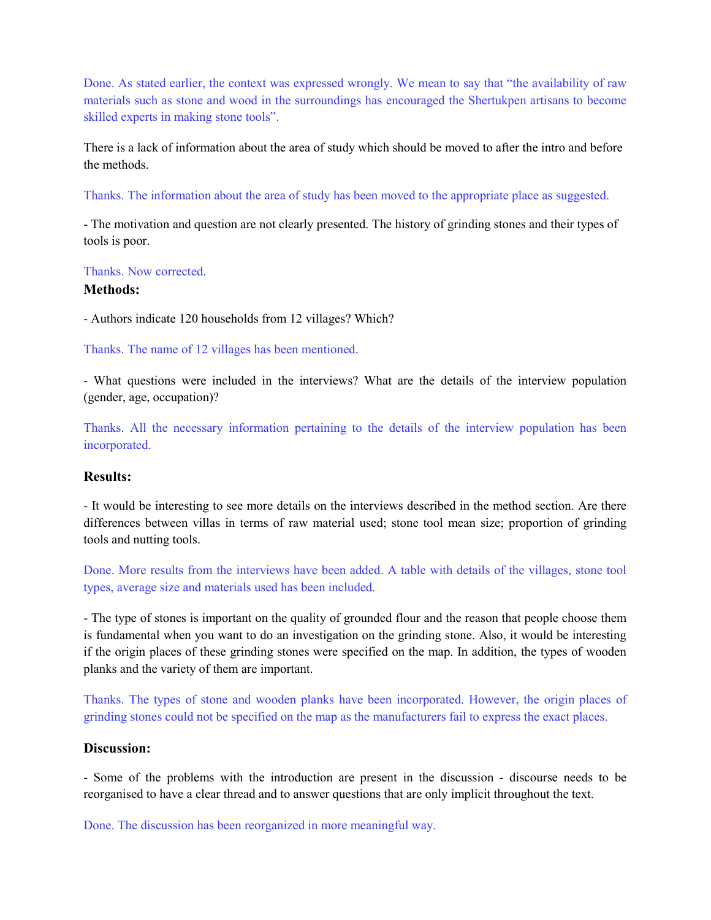Done. As stated earlier, the context was expressed wrongly. We mean to say that "the availability of raw materials such as stone and wood in the surroundings has encouraged the Shertukpen artisans to become skilled experts in making stone tools".

There is a lack of information about the area of study which should be moved to after the intro and before the methods.

Thanks. The information about the area of study has been moved to the appropriate place as suggested.

- The motivation and question are not clearly presented. The history of grinding stones and their types of tools is poor.

### Thanks. Now corrected.

## Methods:

- Authors indicate 120 households from 12 villages? Which?

Thanks. The name of 12 villages has been mentioned.

- What questions were included in the interviews? What are the details of the interview population (gender, age, occupation)?

Thanks. All the necessary information pertaining to the details of the interview population has been incorporated.

# Results:

- It would be interesting to see more details on the interviews described in the method section. Are there differences between villas in terms of raw material used; stone tool mean size; proportion of grinding tools and nutting tools.

Done. More results from the interviews have been added. A table with details of the villages, stone tool types, average size and materials used has been included.

- The type of stones is important on the quality of grounded flour and the reason that people choose them is fundamental when you want to do an investigation on the grinding stone. Also, it would be interesting if the origin places of these grinding stones were specified on the map. In addition, the types of wooden planks and the variety of them are important.

Thanks. The types of stone and wooden planks have been incorporated. However, the origin places of grinding stones could not be specified on the map as the manufacturers fail to express the exact places.

# Discussion:

- Some of the problems with the introduction are present in the discussion - discourse needs to be reorganised to have a clear thread and to answer questions that are only implicit throughout the text.

Done. The discussion has been reorganized in more meaningful way.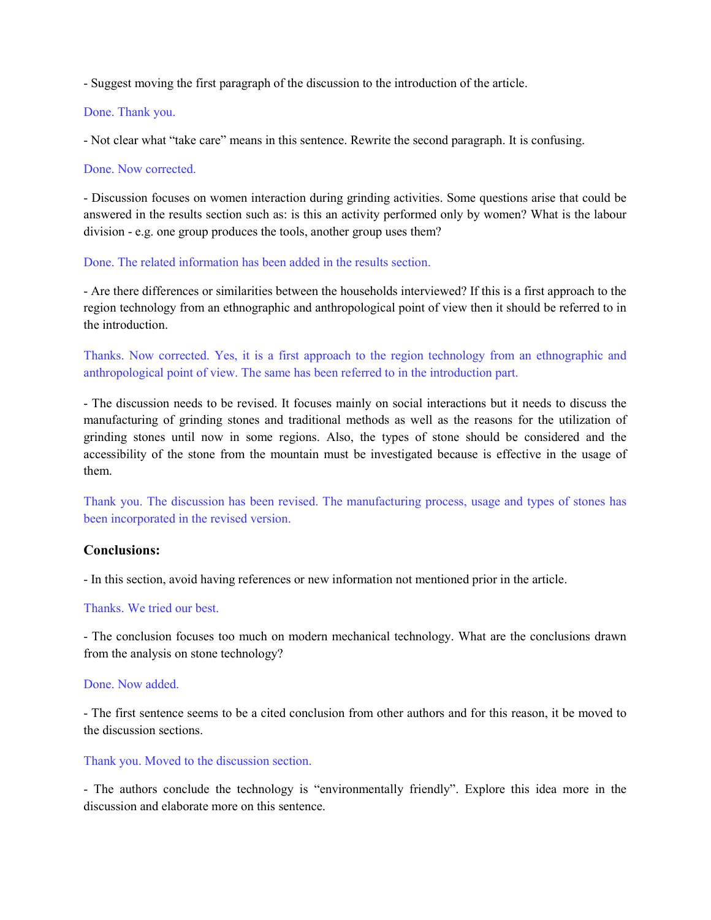- Suggest moving the first paragraph of the discussion to the introduction of the article.

### Done. Thank you.

- Not clear what "take care" means in this sentence. Rewrite the second paragraph. It is confusing.

### Done. Now corrected.

- Discussion focuses on women interaction during grinding activities. Some questions arise that could be answered in the results section such as: is this an activity performed only by women? What is the labour division - e.g. one group produces the tools, another group uses them?

### Done. The related information has been added in the results section.

- Are there differences or similarities between the households interviewed? If this is a first approach to the region technology from an ethnographic and anthropological point of view then it should be referred to in the introduction.

Thanks. Now corrected. Yes, it is a first approach to the region technology from an ethnographic and anthropological point of view. The same has been referred to in the introduction part.

- The discussion needs to be revised. It focuses mainly on social interactions but it needs to discuss the manufacturing of grinding stones and traditional methods as well as the reasons for the utilization of grinding stones until now in some regions. Also, the types of stone should be considered and the accessibility of the stone from the mountain must be investigated because is effective in the usage of them.

Thank you. The discussion has been revised. The manufacturing process, usage and types of stones has been incorporated in the revised version.

# Conclusions:

- In this section, avoid having references or new information not mentioned prior in the article.

### Thanks. We tried our best.

- The conclusion focuses too much on modern mechanical technology. What are the conclusions drawn from the analysis on stone technology?

### Done. Now added.

- The first sentence seems to be a cited conclusion from other authors and for this reason, it be moved to the discussion sections.

### Thank you. Moved to the discussion section.

- The authors conclude the technology is "environmentally friendly". Explore this idea more in the discussion and elaborate more on this sentence.